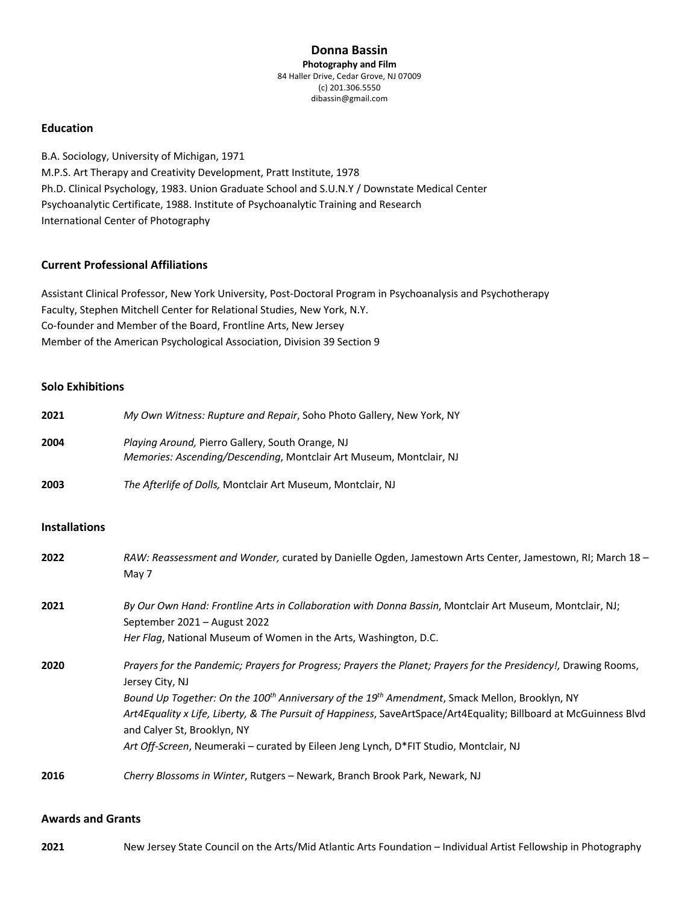### **Donna Bassin Photography and Film** 84 Haller Drive, Cedar Grove, NJ 07009 (c) 201.306.5550 dibassin@gmail.com

# **Education**

B.A. Sociology, University of Michigan, 1971 M.P.S. Art Therapy and Creativity Development, Pratt Institute, 1978 Ph.D. Clinical Psychology, 1983. Union Graduate School and S.U.N.Y / Downstate Medical Center Psychoanalytic Certificate, 1988. Institute of Psychoanalytic Training and Research International Center of Photography

## **Current Professional Affiliations**

Assistant Clinical Professor, New York University, Post-Doctoral Program in Psychoanalysis and Psychotherapy Faculty, Stephen Mitchell Center for Relational Studies, New York, N.Y. Co-founder and Member of the Board, Frontline Arts, New Jersey Member of the American Psychological Association, Division 39 Section 9

### **Solo Exhibitions**

| 2021 | My Own Witness: Rupture and Repair, Soho Photo Gallery, New York, NY                                                    |
|------|-------------------------------------------------------------------------------------------------------------------------|
| 2004 | Playing Around, Pierro Gallery, South Orange, NJ<br>Memories: Ascending/Descending, Montclair Art Museum, Montclair, NJ |
| 2003 | The Afterlife of Dolls, Montclair Art Museum, Montclair, NJ                                                             |

#### **Installations**

| 2022 | RAW: Reassessment and Wonder, curated by Danielle Ogden, Jamestown Arts Center, Jamestown, RI; March 18 -<br>May 7                                                                                                                                                                                                                                                                                                                                                                                       |
|------|----------------------------------------------------------------------------------------------------------------------------------------------------------------------------------------------------------------------------------------------------------------------------------------------------------------------------------------------------------------------------------------------------------------------------------------------------------------------------------------------------------|
| 2021 | By Our Own Hand: Frontline Arts in Collaboration with Donna Bassin, Montclair Art Museum, Montclair, NJ;<br>September 2021 - August 2022<br>Her Flag, National Museum of Women in the Arts, Washington, D.C.                                                                                                                                                                                                                                                                                             |
| 2020 | Prayers for the Pandemic; Prayers for Progress; Prayers the Planet; Prayers for the Presidency!, Drawing Rooms,<br>Jersey City, NJ<br>Bound Up Together: On the 100 <sup>th</sup> Anniversary of the 19 <sup>th</sup> Amendment, Smack Mellon, Brooklyn, NY<br>Art4Equality x Life, Liberty, & The Pursuit of Happiness, SaveArtSpace/Art4Equality; Billboard at McGuinness Blvd<br>and Calver St, Brooklyn, NY<br>Art Off-Screen, Neumeraki – curated by Eileen Jeng Lynch, D*FIT Studio, Montclair, NJ |
| 2016 | Cherry Blossoms in Winter, Rutgers - Newark, Branch Brook Park, Newark, NJ                                                                                                                                                                                                                                                                                                                                                                                                                               |

## **Awards and Grants**

**2021** New Jersey State Council on the Arts/Mid Atlantic Arts Foundation – Individual Artist Fellowship in Photography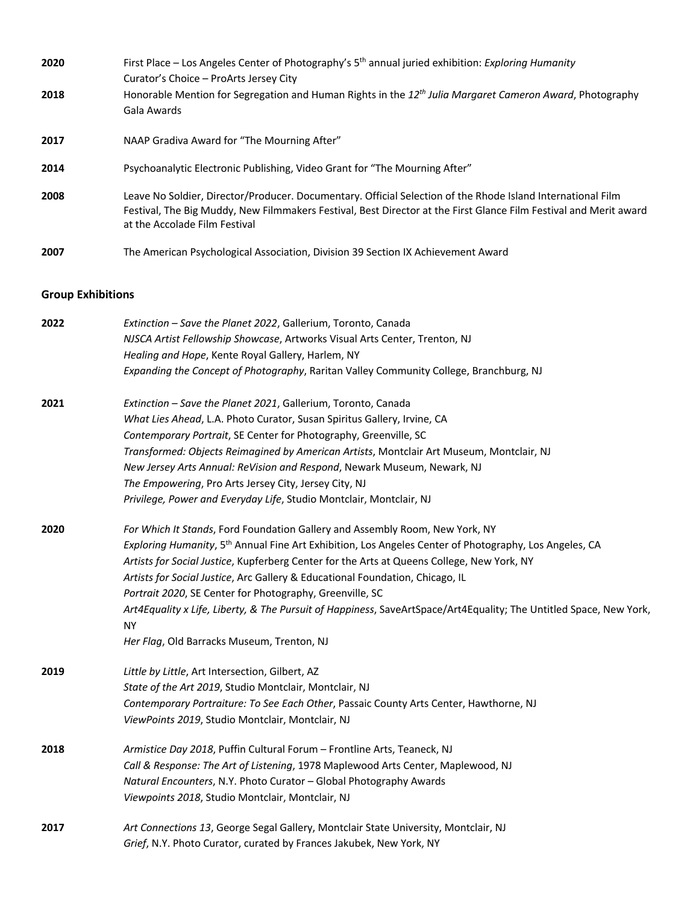| 2020 | First Place – Los Angeles Center of Photography's 5 <sup>th</sup> annual juried exhibition: Exploring Humanity                                                                                                                                                    |
|------|-------------------------------------------------------------------------------------------------------------------------------------------------------------------------------------------------------------------------------------------------------------------|
|      | Curator's Choice - ProArts Jersey City                                                                                                                                                                                                                            |
| 2018 | Honorable Mention for Segregation and Human Rights in the $12^{th}$ Julia Margaret Cameron Award, Photography                                                                                                                                                     |
|      | Gala Awards                                                                                                                                                                                                                                                       |
| 2017 | NAAP Gradiva Award for "The Mourning After"                                                                                                                                                                                                                       |
| 2014 | Psychoanalytic Electronic Publishing, Video Grant for "The Mourning After"                                                                                                                                                                                        |
| 2008 | Leave No Soldier, Director/Producer. Documentary. Official Selection of the Rhode Island International Film<br>Festival, The Big Muddy, New Filmmakers Festival, Best Director at the First Glance Film Festival and Merit award<br>at the Accolade Film Festival |
| 2007 | The American Psychological Association, Division 39 Section IX Achievement Award                                                                                                                                                                                  |

# **Group Exhibitions**

| 2022 | Extinction - Save the Planet 2022, Gallerium, Toronto, Canada                                                                   |
|------|---------------------------------------------------------------------------------------------------------------------------------|
|      | NJSCA Artist Fellowship Showcase, Artworks Visual Arts Center, Trenton, NJ                                                      |
|      | Healing and Hope, Kente Royal Gallery, Harlem, NY                                                                               |
|      | Expanding the Concept of Photography, Raritan Valley Community College, Branchburg, NJ                                          |
| 2021 | Extinction - Save the Planet 2021, Gallerium, Toronto, Canada                                                                   |
|      | What Lies Ahead, L.A. Photo Curator, Susan Spiritus Gallery, Irvine, CA                                                         |
|      | Contemporary Portrait, SE Center for Photography, Greenville, SC                                                                |
|      | Transformed: Objects Reimagined by American Artists, Montclair Art Museum, Montclair, NJ                                        |
|      | New Jersey Arts Annual: ReVision and Respond, Newark Museum, Newark, NJ                                                         |
|      | The Empowering, Pro Arts Jersey City, Jersey City, NJ                                                                           |
|      | Privilege, Power and Everyday Life, Studio Montclair, Montclair, NJ                                                             |
| 2020 | For Which It Stands, Ford Foundation Gallery and Assembly Room, New York, NY                                                    |
|      | Exploring Humanity, 5 <sup>th</sup> Annual Fine Art Exhibition, Los Angeles Center of Photography, Los Angeles, CA              |
|      | Artists for Social Justice, Kupferberg Center for the Arts at Queens College, New York, NY                                      |
|      | Artists for Social Justice, Arc Gallery & Educational Foundation, Chicago, IL                                                   |
|      | Portrait 2020, SE Center for Photography, Greenville, SC                                                                        |
|      | Art4Equality x Life, Liberty, & The Pursuit of Happiness, SaveArtSpace/Art4Equality; The Untitled Space, New York,<br><b>NY</b> |
|      | Her Flag, Old Barracks Museum, Trenton, NJ                                                                                      |
| 2019 | Little by Little, Art Intersection, Gilbert, AZ                                                                                 |
|      | State of the Art 2019, Studio Montclair, Montclair, NJ                                                                          |
|      | Contemporary Portraiture: To See Each Other, Passaic County Arts Center, Hawthorne, NJ                                          |
|      | ViewPoints 2019, Studio Montclair, Montclair, NJ                                                                                |
| 2018 | Armistice Day 2018, Puffin Cultural Forum - Frontline Arts, Teaneck, NJ                                                         |
|      | Call & Response: The Art of Listening, 1978 Maplewood Arts Center, Maplewood, NJ                                                |
|      | Natural Encounters, N.Y. Photo Curator - Global Photography Awards                                                              |
|      | Viewpoints 2018, Studio Montclair, Montclair, NJ                                                                                |
| 2017 | Art Connections 13, George Segal Gallery, Montclair State University, Montclair, NJ                                             |
|      | Grief, N.Y. Photo Curator, curated by Frances Jakubek, New York, NY                                                             |
|      |                                                                                                                                 |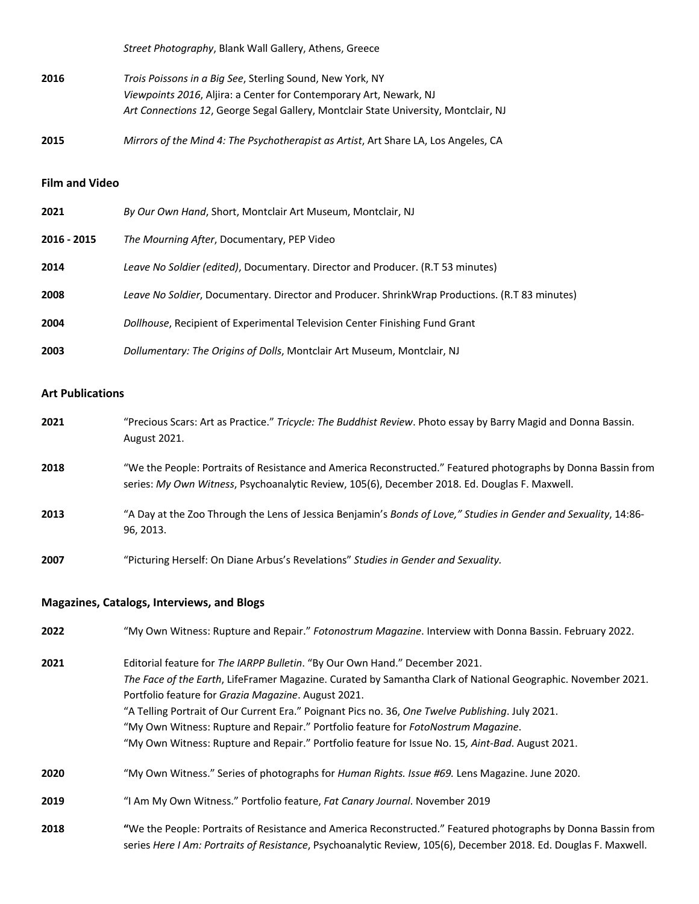*Street Photography*, Blank Wall Gallery, Athens, Greece

- **2016** *Trois Poissons in a Big See*, Sterling Sound, New York, NY *Viewpoints 2016*, Aljira: a Center for Contemporary Art, Newark, NJ *Art Connections 12*, George Segal Gallery, Montclair State University, Montclair, NJ
- **2015** *Mirrors of the Mind 4: The Psychotherapist as Artist*, Art Share LA, Los Angeles, CA

# **Film and Video**

| 2021        | By Our Own Hand, Short, Montclair Art Museum, Montclair, NJ                                    |
|-------------|------------------------------------------------------------------------------------------------|
| 2016 - 2015 | The Mourning After, Documentary, PEP Video                                                     |
| 2014        | Leave No Soldier (edited), Documentary. Director and Producer. (R.T 53 minutes)                |
| 2008        | Leave No Soldier, Documentary. Director and Producer. ShrinkWrap Productions. (R.T 83 minutes) |
| 2004        | Dollhouse, Recipient of Experimental Television Center Finishing Fund Grant                    |
| 2003        | Dollumentary: The Origins of Dolls, Montclair Art Museum, Montclair, NJ                        |

# **Art Publications**

| 2021 | "Precious Scars: Art as Practice." Tricycle: The Buddhist Review. Photo essay by Barry Magid and Donna Bassin.<br>August 2021.                                                                                                                                                                                                                                                                                                                                                                                                                  |
|------|-------------------------------------------------------------------------------------------------------------------------------------------------------------------------------------------------------------------------------------------------------------------------------------------------------------------------------------------------------------------------------------------------------------------------------------------------------------------------------------------------------------------------------------------------|
| 2018 | "We the People: Portraits of Resistance and America Reconstructed." Featured photographs by Donna Bassin from<br>series: My Own Witness, Psychoanalytic Review, 105(6), December 2018. Ed. Douglas F. Maxwell.                                                                                                                                                                                                                                                                                                                                  |
| 2013 | "A Day at the Zoo Through the Lens of Jessica Benjamin's Bonds of Love," Studies in Gender and Sexuality, 14:86-<br>96, 2013.                                                                                                                                                                                                                                                                                                                                                                                                                   |
| 2007 | "Picturing Herself: On Diane Arbus's Revelations" Studies in Gender and Sexuality.                                                                                                                                                                                                                                                                                                                                                                                                                                                              |
|      | <b>Magazines, Catalogs, Interviews, and Blogs</b>                                                                                                                                                                                                                                                                                                                                                                                                                                                                                               |
| 2022 | "My Own Witness: Rupture and Repair." Fotonostrum Magazine. Interview with Donna Bassin. February 2022.                                                                                                                                                                                                                                                                                                                                                                                                                                         |
| 2021 | Editorial feature for The IARPP Bulletin. "By Our Own Hand." December 2021.<br>The Face of the Earth, LifeFramer Magazine. Curated by Samantha Clark of National Geographic. November 2021.<br>Portfolio feature for Grazia Magazine. August 2021.<br>"A Telling Portrait of Our Current Era." Poignant Pics no. 36, One Twelve Publishing. July 2021.<br>"My Own Witness: Rupture and Repair." Portfolio feature for FotoNostrum Magazine.<br>"My Own Witness: Rupture and Repair." Portfolio feature for Issue No. 15, Aint-Bad. August 2021. |
| 2020 | "My Own Witness." Series of photographs for Human Rights. Issue #69. Lens Magazine. June 2020.                                                                                                                                                                                                                                                                                                                                                                                                                                                  |
| 2019 | "I Am My Own Witness." Portfolio feature, Fat Canary Journal. November 2019                                                                                                                                                                                                                                                                                                                                                                                                                                                                     |
| 2018 | "We the People: Portraits of Resistance and America Reconstructed." Featured photographs by Donna Bassin from<br>series Here I Am: Portraits of Resistance, Psychoanalytic Review, 105(6), December 2018. Ed. Douglas F. Maxwell.                                                                                                                                                                                                                                                                                                               |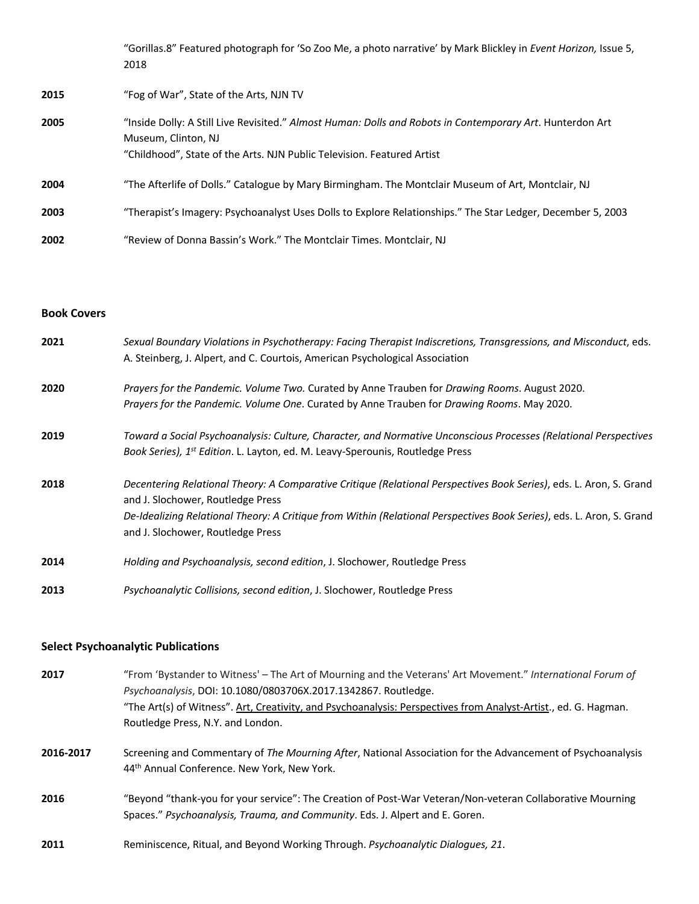"Gorillas.8" Featured photograph for 'So Zoo Me, a photo narrative' by Mark Blickley in *Event Horizon,* Issue 5, 2018

- **2015** "Fog of War", State of the Arts, NJN TV
- **2005** "Inside Dolly: A Still Live Revisited." *Almost Human: Dolls and Robots in Contemporary Art*. Hunterdon Art Museum, Clinton, NJ "Childhood", State of the Arts. NJN Public Television. Featured Artist **2004** "The Afterlife of Dolls." Catalogue by Mary Birmingham. The Montclair Museum of Art, Montclair, NJ **2003** "Therapist's Imagery: Psychoanalyst Uses Dolls to Explore Relationships." The Star Ledger, December 5, 2003 **2002** "Review of Donna Bassin's Work." The Montclair Times. Montclair, NJ

## **Book Covers**

| 2021 | Sexual Boundary Violations in Psychotherapy: Facing Therapist Indiscretions, Transgressions, and Misconduct, eds.<br>A. Steinberg, J. Alpert, and C. Courtois, American Psychological Association                                                                                                                      |
|------|------------------------------------------------------------------------------------------------------------------------------------------------------------------------------------------------------------------------------------------------------------------------------------------------------------------------|
| 2020 | Prayers for the Pandemic. Volume Two. Curated by Anne Trauben for Drawing Rooms. August 2020.<br>Prayers for the Pandemic. Volume One. Curated by Anne Trauben for Drawing Rooms. May 2020.                                                                                                                            |
| 2019 | Toward a Social Psychoanalysis: Culture, Character, and Normative Unconscious Processes (Relational Perspectives<br>Book Series), 1 <sup>st</sup> Edition. L. Layton, ed. M. Leavy-Sperounis, Routledge Press                                                                                                          |
| 2018 | Decentering Relational Theory: A Comparative Critique (Relational Perspectives Book Series), eds. L. Aron, S. Grand<br>and J. Slochower, Routledge Press<br>De-Idealizing Relational Theory: A Critique from Within (Relational Perspectives Book Series), eds. L. Aron, S. Grand<br>and J. Slochower, Routledge Press |
| 2014 | Holding and Psychoanalysis, second edition, J. Slochower, Routledge Press                                                                                                                                                                                                                                              |
| 2013 | Psychoanalytic Collisions, second edition, J. Slochower, Routledge Press                                                                                                                                                                                                                                               |

# **Select Psychoanalytic Publications**

- **2017** "From 'Bystander to Witness' The Art of Mourning and the Veterans' Art Movement." *International Forum of Psychoanalysis*, DOI: 10.1080/0803706X.2017.1342867. Routledge. "The Art(s) of Witness". Art, Creativity, and Psychoanalysis: Perspectives from Analyst-Artist., ed. G. Hagman. Routledge Press, N.Y. and London.
- **2016-2017** Screening and Commentary of *The Mourning After*, National Association for the Advancement of Psychoanalysis 44<sup>th</sup> Annual Conference. New York, New York.
- **2016** "Beyond "thank-you for your service": The Creation of Post-War Veteran/Non-veteran Collaborative Mourning Spaces." *Psychoanalysis, Trauma, and Community*. Eds. J. Alpert and E. Goren.
- **2011** Reminiscence, Ritual, and Beyond Working Through. *Psychoanalytic Dialogues, 21*.